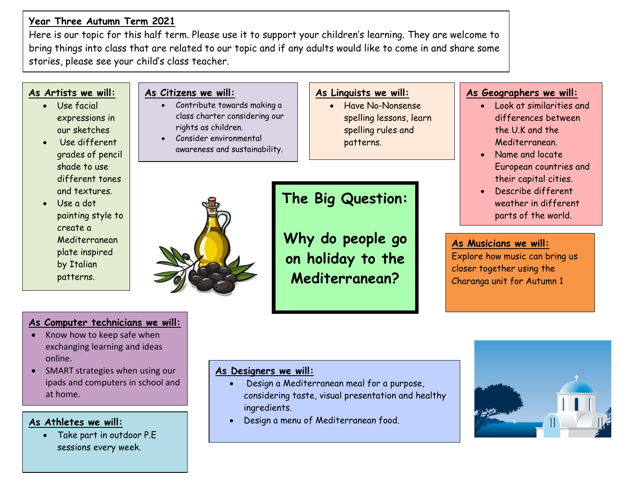# **Year Three Autumn Term 2021**

Here is our topic for this half term. Please use it to support your children's learning. They are welcome to bring things into class that are related to our topic and if any adults would like to come in and share some stories, please see your child's class teacher.

### **As Artists we will:**

- Use facial expressions in our sketches
- Use different grades of pencil shade to use different tones and textures.
- Use a dot painting style to create a Mediterranean plate inspired by Italian patterns.

# **As Linguists we will:**

**The Big Question:**

**Why do people go** 

**on holiday to the** 

**Mediterranean?** 

• Have No-Nonsense spelling lessons, learn spelling rules and patterns.

### **As Geographers we will:**

- Look at similarities and differences between the U.K and the Mediterranean.
- Name and locate European countries and their capital cities.
- Describe different weather in different parts of the world.

### **As Musicians we will:**

Explore how music can bring us closer together using the Charanga unit for Autumn 1

### **As Computer technicians we will:**

- Know how to keep safe when exchanging learning and ideas online.
- SMART strategies when using our ipads and computers in school and at home.

#### **As Athletes we will:**

• Take part in outdoor P.E sessions every week.

#### **As Designers we will:**

- Design a Mediterranean meal for a purpose, considering taste, visual presentation and healthy ingredients.
- Design a menu of Mediterranean food.





**As Citizens we will:**

• Contribute towards making a class charter considering our

awareness and sustainability.

rights as children. • Consider environmental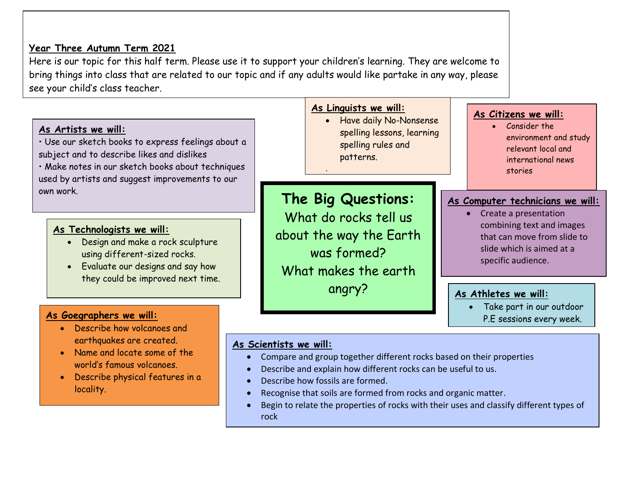

## **As Scientists we will:**

• Name and locate some of the world's famous volcanoes.

locality.

• Describe physical features in a

- Compare and group together different rocks based on their properties
- Describe and explain how different rocks can be useful to us.
- Describe how fossils are formed.
- Recognise that soils are formed from rocks and organic matter.
- Begin to relate the properties of rocks with their uses and classify different types of rock